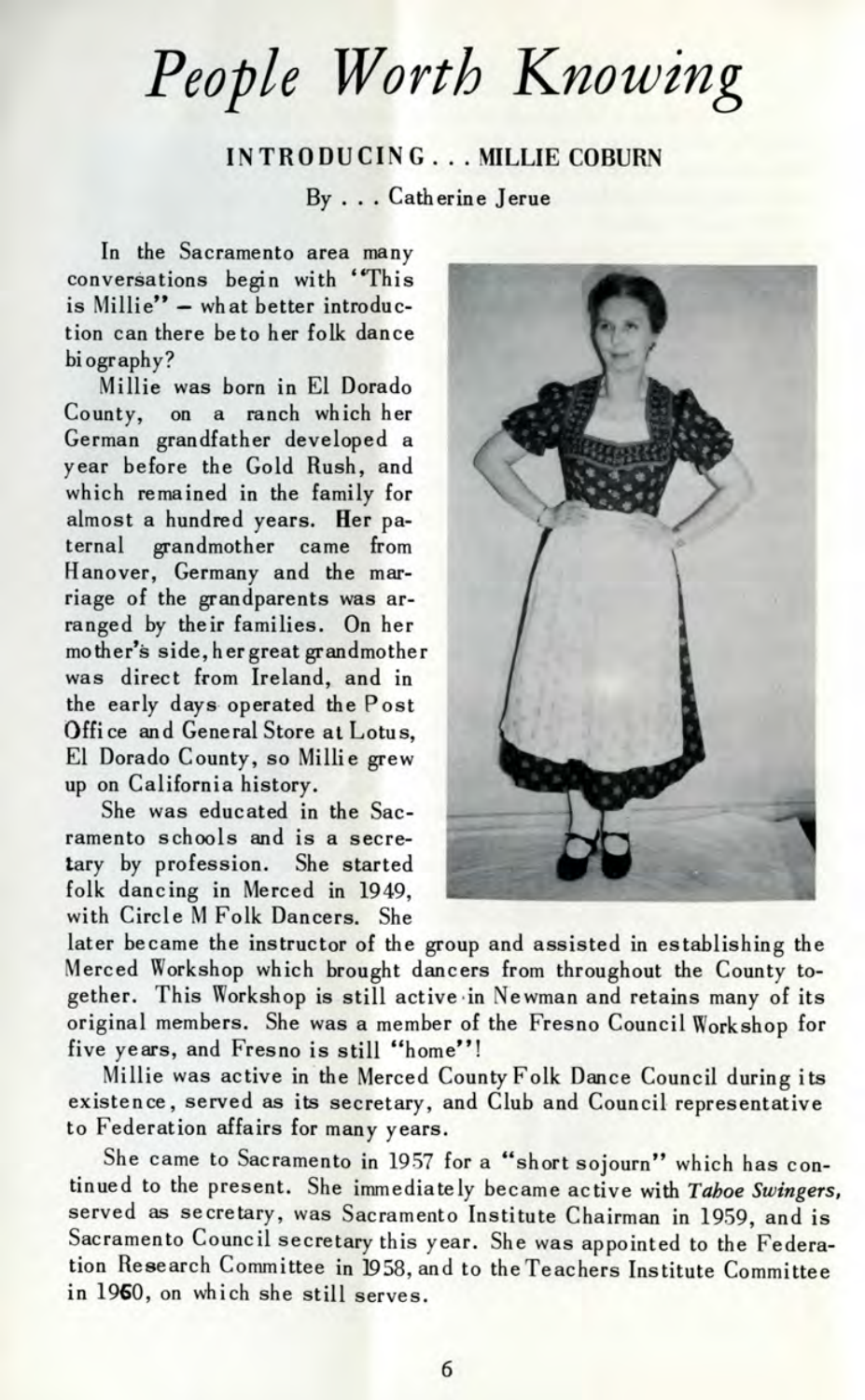*People Worth Knowing*

## INTRODUCING . . . MILLIE COBURN

By ... Catherine Jerue

In the Sacramento area many conversations begin with "This is Millie" - what better introduction can there be to her folk dance biography?

Millie was born in El Dorado County, on a ranch which her German grandfather developed a year before the Gold Rush, and which remained in the family for almost a hundred years. Her paternal grandmother came from Hanover, Germany and the marriage of the grandparents was arranged by their families. On her mother's side, her great grandmother was direct from Ireland, and in the early days operated the Post Office and General Store at Lotus, El Dorado County, so Millie grew up on California history.

She was educated in the Sacramento schools and is a secretary by profession. She started folk dancing in Merced in 1949, with Circle M Folk Dancers. She



later became the instructor of the group and assisted in establishing the Merced Workshop which brought dancers from throughout the County together. This Workshop is still active in Newman and retains many of its original members. She was a member of the Fresno Council Workshop for five years, and Fresno is still "home"!

Millie was active in the Merced County Folk Dance Council during its existence, served as its secretary, and Club and Council representative to Federation affairs for many years.

She came to Sacramento in 1957 for a "short sojourn" which has continued to the present. She immediately became active with *Taboe Swingers,* served as secretary, was Sacramento Institute Chairman in 1959, and is Sacramento Council secretary this year. She was appointed to the Federation Research Committee in 1958, and to the Teachers Institute Committee in I960, on which she still serves.